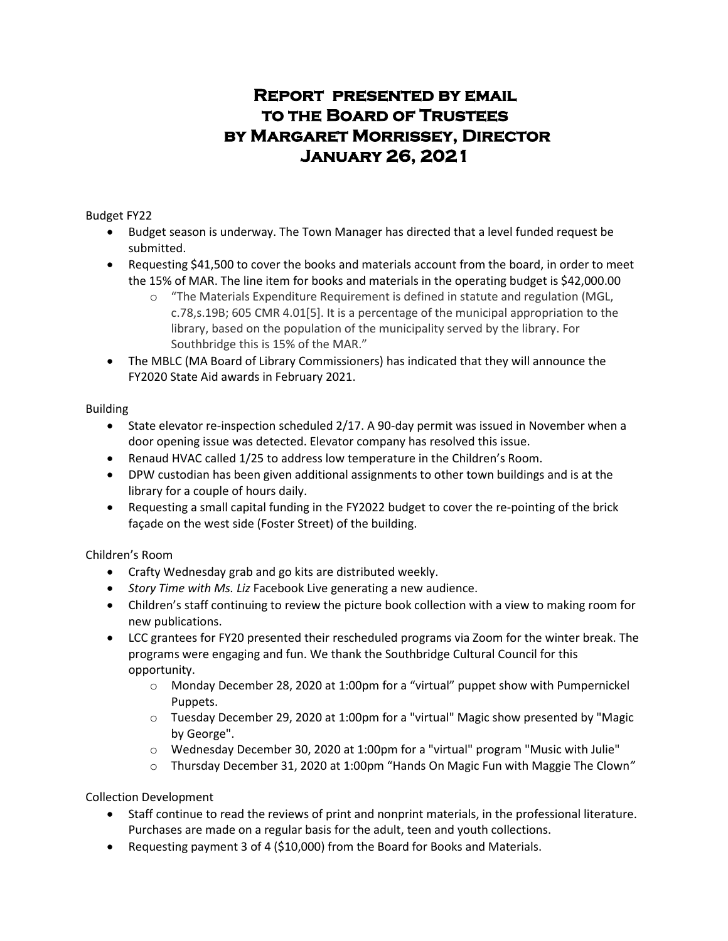## **Report presented by email to the Board of Trustees by Margaret Morrissey, Director January 26, 2021**

Budget FY22

- Budget season is underway. The Town Manager has directed that a level funded request be submitted.
- Requesting \$41,500 to cover the books and materials account from the board, in order to meet the 15% of MAR. The line item for books and materials in the operating budget is \$42,000.00
	- o "The Materials Expenditure Requirement is defined in statute and regulation (MGL, c.78,s.19B; 605 CMR 4.01[5]. It is a percentage of the municipal appropriation to the library, based on the population of the municipality served by the library. For Southbridge this is 15% of the MAR."
- The MBLC (MA Board of Library Commissioners) has indicated that they will announce the FY2020 State Aid awards in February 2021.

Building

- State elevator re-inspection scheduled 2/17. A 90-day permit was issued in November when a door opening issue was detected. Elevator company has resolved this issue.
- Renaud HVAC called 1/25 to address low temperature in the Children's Room.
- DPW custodian has been given additional assignments to other town buildings and is at the library for a couple of hours daily.
- Requesting a small capital funding in the FY2022 budget to cover the re-pointing of the brick façade on the west side (Foster Street) of the building.

Children's Room

- Crafty Wednesday grab and go kits are distributed weekly.
- *Story Time with Ms. Liz* Facebook Live generating a new audience.
- Children's staff continuing to review the picture book collection with a view to making room for new publications.
- LCC grantees for FY20 presented their rescheduled programs via Zoom for the winter break. The programs were engaging and fun. We thank the Southbridge Cultural Council for this opportunity.
	- o Monday December 28, 2020 at 1:00pm for a "virtual" puppet show with Pumpernickel Puppets.
	- o Tuesday December 29, 2020 at 1:00pm for a "virtual" Magic show presented by "Magic by George".
	- $\circ$  Wednesday December 30, 2020 at 1:00pm for a "virtual" program "Music with Julie"
	- o Thursday December 31, 2020 at 1:00pm "Hands On Magic Fun with Maggie The Clown*"*

Collection Development

- Staff continue to read the reviews of print and nonprint materials, in the professional literature. Purchases are made on a regular basis for the adult, teen and youth collections.
- Requesting payment 3 of 4 (\$10,000) from the Board for Books and Materials.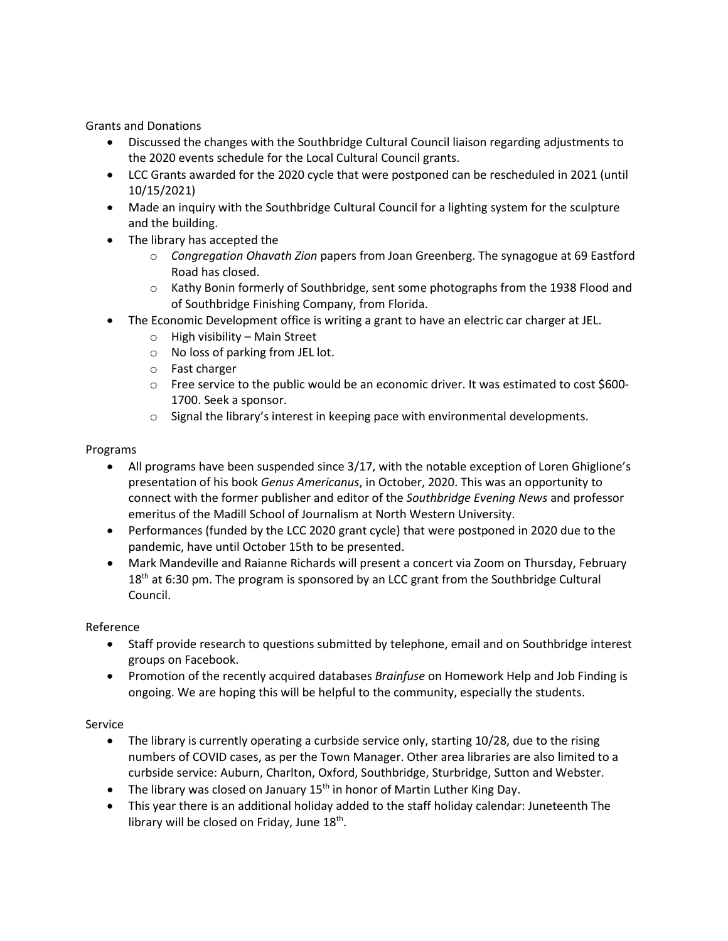Grants and Donations

- Discussed the changes with the Southbridge Cultural Council liaison regarding adjustments to the 2020 events schedule for the Local Cultural Council grants.
- LCC Grants awarded for the 2020 cycle that were postponed can be rescheduled in 2021 (until 10/15/2021)
- Made an inquiry with the Southbridge Cultural Council for a lighting system for the sculpture and the building.
- The library has accepted the
	- o *Congregation Ohavath Zion* papers from Joan Greenberg. The synagogue at 69 Eastford Road has closed.
	- o Kathy Bonin formerly of Southbridge, sent some photographs from the 1938 Flood and of Southbridge Finishing Company, from Florida.
- The Economic Development office is writing a grant to have an electric car charger at JEL.
	- o High visibility Main Street
	- o No loss of parking from JEL lot.
	- o Fast charger
	- o Free service to the public would be an economic driver. It was estimated to cost \$600- 1700. Seek a sponsor.
	- $\circ$  Signal the library's interest in keeping pace with environmental developments.

## Programs

- All programs have been suspended since 3/17, with the notable exception of Loren Ghiglione's presentation of his book *Genus Americanus*, in October, 2020. This was an opportunity to connect with the former publisher and editor of the *Southbridge Evening News* and professor emeritus of the Madill School of Journalism at North Western University.
- Performances (funded by the LCC 2020 grant cycle) that were postponed in 2020 due to the pandemic, have until October 15th to be presented.
- Mark Mandeville and Raianne Richards will present a concert via Zoom on Thursday, February  $18<sup>th</sup>$  at 6:30 pm. The program is sponsored by an LCC grant from the Southbridge Cultural Council.

## Reference

- Staff provide research to questions submitted by telephone, email and on Southbridge interest groups on Facebook.
- Promotion of the recently acquired databases *Brainfuse* on Homework Help and Job Finding is ongoing. We are hoping this will be helpful to the community, especially the students.

## Service

- The library is currently operating a curbside service only, starting 10/28, due to the rising numbers of COVID cases, as per the Town Manager. Other area libraries are also limited to a curbside service: Auburn, Charlton, Oxford, Southbridge, Sturbridge, Sutton and Webster.
- The library was closed on January  $15<sup>th</sup>$  in honor of Martin Luther King Day.
- This year there is an additional holiday added to the staff holiday calendar: Juneteenth The library will be closed on Friday, June  $18<sup>th</sup>$ .